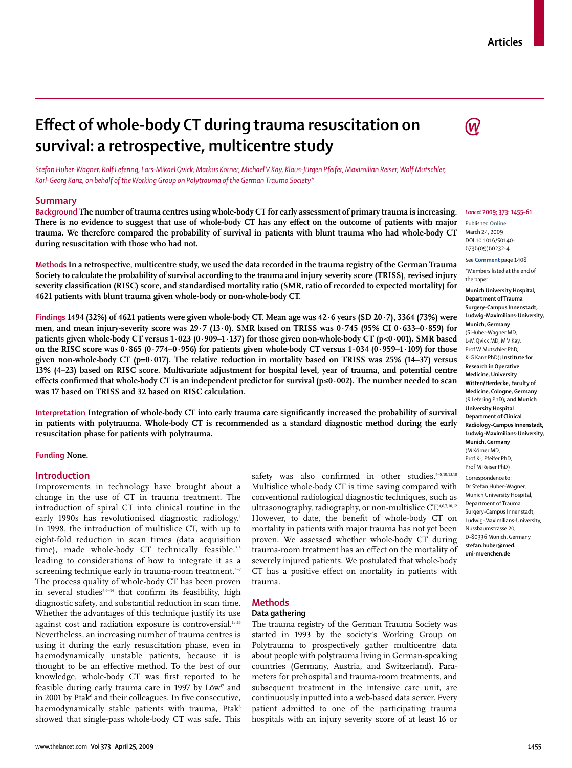# **Effect of whole-body CT during trauma resuscitation on survival: a retrospective, multicentre study**

(W

*Stefan Huber-Wagner, Rolf Lefering, Lars-Mikael Qvick, Markus Körner, Michael V Kay, Klaus-Jürgen Pfeifer, Maximilian Reiser, Wolf Mutschler, Karl-Georg Kanz, on behalf of the Working Group on Polytrauma of the German Trauma Society\**

## **Summary**

**Background The number of trauma centres using whole-body CT for early assessment of primary trauma is increasing.**  There is no evidence to suggest that use of whole-body CT has any effect on the outcome of patients with major **trauma. We therefore compared the probability of survival in patients with blunt trauma who had whole-body CT during resuscitation with those who had not.**

**Methods In a retrospective, multicentre study, we used the data recorded in the trauma registry of the German Trauma Society to calculate the probability of survival according to the trauma and injury severity score (TRISS), revised injury severity classification (RISC) score, and standardised mortality ratio (SMR, ratio of recorded to expected mortality) for 4621 patients with blunt trauma given whole-body or non-whole-body CT.**

**Findings 1494 (32%) of 4621 patients were given whole-body CT. Mean age was 42·6 years (SD 20·7), 3364 (73%) were men, and mean injury-severity score was 29·7 (13·0). SMR based on TRISS was 0·745 (95% CI 0·633–0·859) for patients given whole-body CT versus 1·023 (0·909–1·137) for those given non-whole-body CT (p<0·001). SMR based on the RISC score was 0·865 (0·774–0·956) for patients given whole-body CT versus 1·034 (0·959–1·109) for those given non-whole-body CT (p=0·017). The relative reduction in mortality based on TRISS was 25% (14–37) versus 13% (4–23) based on RISC score. Multivariate adjustment for hospital level, year of trauma, and potential centre**  effects confirmed that whole-body CT is an independent predictor for survival (p≤0·002). The number needed to scan **was 17 based on TRISS and 32 based on RISC calculation.**

Interpretation Integration of whole-body CT into early trauma care significantly increased the probability of survival **in patients with polytrauma. Whole-body CT is recommended as a standard diagnostic method during the early resuscitation phase for patients with polytrauma.**

#### **Funding None.**

#### **Introduction**

Improvements in technology have brought about a change in the use of CT in trauma treatment. The introduction of spiral CT into clinical routine in the early 1990s has revolutionised diagnostic radiology.<sup>1</sup> In 1998, the introduction of multislice CT, with up to eight-fold reduction in scan times (data acquisition time), made whole-body CT technically feasible, $2,3$ leading to considerations of how to integrate it as a screening technique early in trauma-room treatment. $47$ The process quality of whole-body CT has been proven in several studies $4,6-14$  that confirm its feasibility, high diagnostic safety, and substantial reduction in scan time. Whether the advantages of this technique justify its use against cost and radiation exposure is controversial.<sup>15,16</sup> Nevertheless, an increasing number of trauma centres is using it during the early resuscitation phase, even in haemodynamically unstable patients, because it is thought to be an effective method. To the best of our knowledge, whole-body CT was first reported to be feasible during early trauma care in 1997 by  $L\ddot{o}w^{\dagger}$  and in 2001 by Ptak<sup>6</sup> and their colleagues. In five consecutive, haemodynamically stable patients with trauma, Ptak<sup>6</sup> showed that single-pass whole-body CT was safe. This

safety was also confirmed in other studies.<sup>4-8,10,13,18</sup> Multislice whole-body CT is time saving compared with conventional radiological diagnostic techniques, such as ultrasonography, radiography, or non-multislice CT.<sup>4,6,7,10,12</sup> However, to date, the benefit of whole-body CT on mortality in patients with major trauma has not yet been proven. We assessed whether whole-body CT during trauma-room treatment has an effect on the mortality of severely injured patients. We postulated that whole-body CT has a positive effect on mortality in patients with trauma.

## **Methods**

## **Data gathering**

The trauma registry of the German Trauma Society was started in 1993 by the society's Working Group on Polytrauma to prospectively gather multicentre data about people with polytrauma living in German-speaking countries (Germany, Austria, and Switzerland). Parameters for prehospital and trauma-room treatments, and subsequent treatment in the intensive care unit, are continuously inputted into a web-based data server. Every patient admitted to one of the participating trauma hospitals with an injury severity score of at least 16 or

#### *Lancet* **2009; 373: 1455–61**

Published **Online** March 24, 2009 DOI:10.1016/S0140- 6736(09)60232-4

See **Comment** page 1408

\*Members listed at the end of the paper

**Munich University Hospital, Department of Trauma Surgery–Campus Innenstadt, Ludwig-Maximilians-University, Munich, Germany**  (S Huber-Wagner MD, L-M Qvick MD, M V Kay, Prof W Mutschler PhD, K-G Kanz PhD)**; Institute for Research in Operative Medicine, University Witten/Herdecke, Faculty of Medicine, Cologne, Germany**  (R Lefering PhD)**; and Munich University Hospital Department of Clinical Radiology–Campus Innenstadt, Ludwig-Maximilians-University, Munich, Germany** (M Körner MD, Prof K-J Pfeifer PhD, Prof M Reiser PhD)

Correspondence to: Dr Stefan Huber–Wagner, Munich University Hospital, Department of Trauma Surgery-Campus Innenstadt, Ludwig-Maximilians-University, Nussbaumstrasse 20, D-80336 Munich, Germany **stefan.huber@med. uni-muenchen.de**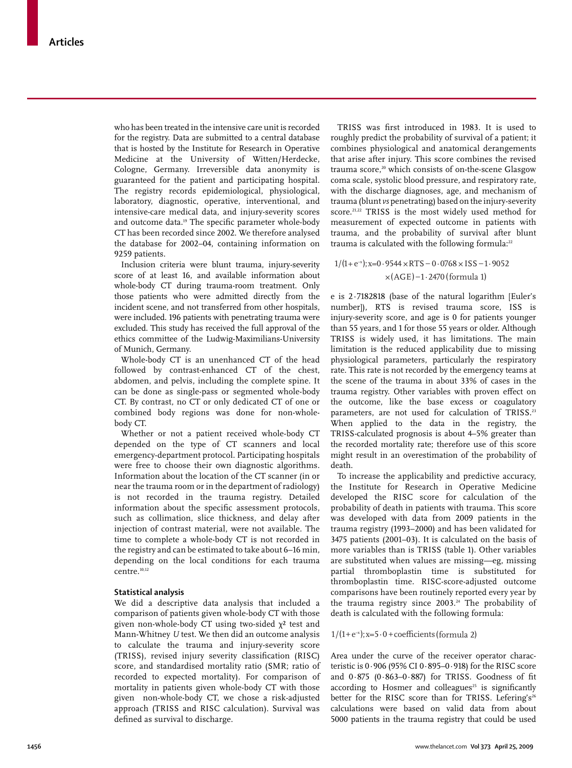who has been treated in the intensive care unit is recorded for the registry. Data are submitted to a central database that is hosted by the Institute for Research in Operative Medicine at the University of Witten/Herdecke, Cologne, Germany. Irreversible data anonymity is guaran teed for the patient and participating hospital. The registry records epidemiological, physiological, laboratory, diagnostic, operative, interventional, and intensive-care medical data, and injury-severity scores and outcome data.<sup>19</sup> The specific parameter whole-body CT has been recorded since 2002. We therefore analysed the database for 2002–04, containing information on 9259 patients.

Inclusion criteria were blunt trauma, injury-severity score of at least 16, and available information about whole-body CT during trauma-room treatment. Only those patients who were admitted directly from the incident scene, and not transferred from other hospitals, were included. 196 patients with penetrating trauma were excluded. This study has received the full approval of the ethics committee of the Ludwig-Maximilians-University of Munich, Germany.

Whole-body CT is an unenhanced CT of the head followed by contrast-enhanced CT of the chest, abdomen, and pelvis, including the complete spine. It can be done as single-pass or segmented whole-body CT. By contrast, no CT or only dedicated CT of one or combined body regions was done for non-whole body CT.

Whether or not a patient received whole-body CT depended on the type of CT scanners and local emergency-department protocol. Participating hospitals were free to choose their own diagnostic algorithms. Information about the location of the CT scanner (in or near the trauma room or in the department of radiology) is not recorded in the trauma registry. Detailed information about the specific assessment protocols, such as collimation, slice thickness, and delay after injection of contrast material, were not available. The time to complete a whole-body CT is not recorded in the registry and can be estimated to take about 6–16 min, depending on the local conditions for each trauma centre.<sup>10,12</sup>

## **Statistical analysis**

We did a descriptive data analysis that included a comparison of patients given whole-body CT with those given non-whole-body CT using two-sided  $\chi^2$  test and Mann-Whitney *U* test. We then did an outcome analysis to calculate the trauma and injury-severity score (TRISS), revised injury severity classification (RISC) score, and standardised mortality ratio (SMR; ratio of recorded to expected mortality). For comparison of mortality in patients given whole-body CT with those given non-whole-body CT, we chose a risk-adjusted approach (TRISS and RISC calculation). Survival was defined as survival to discharge.

TRISS was first introduced in 1983. It is used to roughly predict the probability of survival of a patient; it combines physiological and anatomical derangements that arise after injury. This score combines the revised trauma score,<sup>20</sup> which consists of on-the-scene Glasgow coma scale, systolic blood pressure, and respiratory rate, with the discharge diagnoses, age, and mechanism of trauma (blunt *vs* penetrating) based on the injury-severity score.<sup>21,22</sup> TRISS is the most widely used method for measurement of expected outcome in patients with trauma, and the probability of survival after blunt trauma is calculated with the following formula:<sup>22</sup>

## $1/(1+e^{-x})$ ; x=0 · 9544 × RTS – 0 · 0768 × ISS – 1 · 9052  $\times$ (AGE)–1·2470 (formula 1)

e is 2·7182818 (base of the natural logarithm [Euler's number]), RTS is revised trauma score, ISS is injury-severity score, and age is 0 for patients younger than 55 years, and 1 for those 55 years or older. Although TRISS is widely used, it has limitations. The main limitation is the reduced applicability due to missing physiological parameters, particularly the respiratory rate. This rate is not recorded by the emergency teams at the scene of the trauma in about 33% of cases in the trauma registry. Other variables with proven effect on the outcome, like the base excess or coagulatory parameters, are not used for calculation of TRISS.<sup>23</sup> When applied to the data in the registry, the TRISS-calculated prognosis is about 4–5% greater than the recorded mortality rate; therefore use of this score might result in an overestimation of the probability of death.

To increase the applicability and predictive accuracy, the Institute for Research in Operative Medicine developed the RISC score for calculation of the probability of death in patients with trauma. This score was developed with data from 2009 patients in the trauma registry (1993–2000) and has been validated for 3475 patients (2001–03). It is calculated on the basis of more variables than is TRISS (table 1). Other variables are substituted when values are missing—eg, missing partial thromboplastin time is substituted for thromboplastin time. RISC-score-adjusted outcome comparisons have been routinely reported every year by the trauma registry since 2003.<sup>24</sup> The probability of death is calculated with the following formula:

#### $1/(1+e^{-x})$ ; x=5 $\cdot$ 0 + coefficients (formula 2)

Area under the curve of the receiver operator characteristic is 0·906 (95% CI 0·895–0·918) for the RISC score and  $0.875$  ( $0.863-0.887$ ) for TRISS. Goodness of fit according to Hosmer and colleagues<sup>25</sup> is significantly better for the RISC score than for TRISS. Lefering's<sup>26</sup> calculations were based on valid data from about 5000 patients in the trauma registry that could be used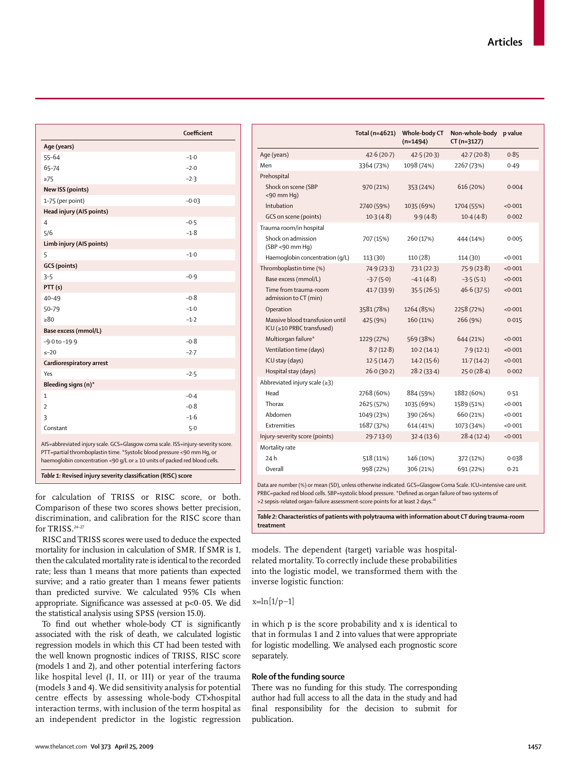|                                                                                                                                                                                                                                           | Coefficient |  |
|-------------------------------------------------------------------------------------------------------------------------------------------------------------------------------------------------------------------------------------------|-------------|--|
| Age (years)                                                                                                                                                                                                                               |             |  |
| $55 - 64$                                                                                                                                                                                                                                 | $-1.0$      |  |
| 65-74                                                                                                                                                                                                                                     | $-2.0$      |  |
| $\geq$ 75                                                                                                                                                                                                                                 | $-2.3$      |  |
| <b>New ISS (points)</b>                                                                                                                                                                                                                   |             |  |
| 1-75 (per point)                                                                                                                                                                                                                          | $-0.03$     |  |
| Head injury (AIS points)                                                                                                                                                                                                                  |             |  |
| $\overline{4}$                                                                                                                                                                                                                            | $-0.5$      |  |
| 5/6                                                                                                                                                                                                                                       | $-1.8$      |  |
| Limb injury (AIS points)                                                                                                                                                                                                                  |             |  |
| 5                                                                                                                                                                                                                                         | $-1.0$      |  |
| <b>GCS</b> (points)                                                                                                                                                                                                                       |             |  |
| $3 - 5$                                                                                                                                                                                                                                   | $-0.9$      |  |
| PTT(s)                                                                                                                                                                                                                                    |             |  |
| $40 - 49$                                                                                                                                                                                                                                 | $-0.8$      |  |
| 50-79                                                                                                                                                                                                                                     | $-1.0$      |  |
| >80                                                                                                                                                                                                                                       | $-1.2$      |  |
| Base excess (mmol/L)                                                                                                                                                                                                                      |             |  |
| $-9.0$ to $-19.9$                                                                                                                                                                                                                         | $-0.8$      |  |
| $\leq -20$                                                                                                                                                                                                                                | $-2.7$      |  |
| Cardiorespiratory arrest                                                                                                                                                                                                                  |             |  |
| Yes                                                                                                                                                                                                                                       | $-2.5$      |  |
| Bleeding signs (n)*                                                                                                                                                                                                                       |             |  |
| 1                                                                                                                                                                                                                                         | $-0.4$      |  |
| $\overline{2}$                                                                                                                                                                                                                            | $-0.8$      |  |
| 3                                                                                                                                                                                                                                         | $-1.6$      |  |
| Constant                                                                                                                                                                                                                                  | 5.0         |  |
| AIS=abbreviated injury scale. GCS=Glasgow coma scale. ISS=injury-severity score.<br>PTT=partial thromboplastin time. *Systolic blood pressure <90 mm Hq, or<br>haemoglobin concentration <90 g/L or ≥ 10 units of packed red blood cells. |             |  |

*Table 1:* Revised injury severity classification (RISC) score

for calculation of TRISS or RISC score, or both. Comparison of these two scores shows better precision, discrimination, and calibration for the RISC score than for TRISS.24–27

RISC and TRISS scores were used to deduce the expected mortality for inclusion in calculation of SMR. If SMR is 1, then the calculated mortality rate is identical to the recorded rate; less than 1 means that more patients than expected survive; and a ratio greater than 1 means fewer patients than predicted survive. We calculated 95% CIs when appropriate. Significance was assessed at p<0·05. We did the statistical analysis using SPSS (version 15.0).

To find out whether whole-body CT is significantly associated with the risk of death, we calculated logistic regression models in which this CT had been tested with the well known prognostic indices of TRISS, RISC score (models 1 and 2), and other potential interfering factors like hospital level (I, II, or III) or year of the trauma (models 3 and 4). We did sensitivity analysis for potential centre effects by assessing whole-body CT×hospital interaction terms, with inclusion of the term hospital as an independent predictor in the logistic regression

|                                                              | Total (n=4621) | Whole-body CT<br>$(n=1494)$ | Non-whole-body p value<br>$CT (n=3127)$ |         |
|--------------------------------------------------------------|----------------|-----------------------------|-----------------------------------------|---------|
| Age (years)                                                  | 42.6(20.7)     | 42.5(20.3)                  | 42.7(20.8)                              | 0.85    |
| Men                                                          | 3364 (73%)     | 1098 (74%)                  | 2267 (73%)                              | 0.49    |
| Prehospital                                                  |                |                             |                                         |         |
| Shock on scene (SBP<br>$<$ 90 mm Hq)                         | 970 (21%)      | 353 (24%)                   | 616 (20%)                               | 0.004   |
| Intubation                                                   | 2740 (59%)     | 1035 (69%)                  | 1704 (55%)                              | < 0.001 |
| GCS on scene (points)                                        | $10-3(4-8)$    | 9.9(4.8)                    | 10.4(4.8)                               | 0.002   |
| Trauma room/in hospital                                      |                |                             |                                         |         |
| Shock on admission<br>$(SBP < 90$ mm Hq)                     | 707 (15%)      | 260 (17%)                   | 444 (14%)                               | 0.005   |
| Haemoglobin concentration (q/L)                              | 113 (30)       | 110 (28)                    | 114 (30)                                | < 0.001 |
| Thromboplastin time (%)                                      | 74.9(23.3)     | 73.1(22.3)                  | 75.9(23.8)                              | < 0.001 |
| Base excess (mmol/L)                                         | $-3.7(5.0)$    | $-4.1(4.8)$                 | $-3.5(5.1)$                             | <0.001  |
| Time from trauma-room<br>admission to CT (min)               | 41.7(33.9)     | 35.5(26.5)                  | 46.6(37.5)                              | < 0.001 |
| Operation                                                    | 3581 (78%)     | 1264 (85%)                  | 2258 (72%)                              | < 0.001 |
| Massive blood transfusion until<br>ICU (≥10 PRBC transfused) | 425 (9%)       | $160(11\%)$                 | 266 (9%)                                | 0.015   |
| Multiorgan failure*                                          | 1229 (27%)     | 569 (38%)                   | 644 (21%)                               | < 0.001 |
| Ventilation time (days)                                      | 8.7(12.8)      | 10.2(14.1)                  | 7.9(12.1)                               | < 0.001 |
| ICU stay (days)                                              | 12.5(14.7)     | 14.2(15.6)                  | 11.7(14.2)                              | < 0.001 |
| Hospital stay (days)                                         | 26.0(30.2)     | 28.2(33.4)                  | 25.0(28.4)                              | 0.002   |
| Abbreviated injury scale $(\geq 3)$                          |                |                             |                                         |         |
| Head                                                         | 2768 (60%)     | 884 (59%)                   | 1882 (60%)                              | 0.51    |
| Thorax                                                       | 2625 (57%)     | 1035 (69%)                  | 1589 (51%)                              | < 0.001 |
| Abdomen                                                      | 1049 (23%)     | 390 (26%)                   | 660 (21%)                               | < 0.001 |
| Extremities                                                  | 1687 (37%)     | 614 (41%)                   | 1073 (34%)                              | < 0.001 |
| Injury-severity score (points)                               | 29.713.0       | 32.4(13.6)                  | 28.4(12.4)                              | < 0.001 |
| Mortality rate                                               |                |                             |                                         |         |
| 24h                                                          | 518 (11%)      | 146 (10%)                   | 372 (12%)                               | 0.038   |
| Overall                                                      | 998 (22%)      | 306 (21%)                   | 691 (22%)                               | 0.21    |

Data are number (%) or mean (SD), unless otherwise indicated. GCS=Glasgow Coma Scale. ICU=intensive care unit. PRBC=packed red blood cells. SBP=systolic blood pressure. \*Defined as organ failure of two systems of >2 sepsis-related organ-failure assessment-score points for at least 2 days.<sup>2</sup>

*Table 2:* **Characteristics of patients with polytrauma with information about CT during trauma-room treatment**

models. The dependent (target) variable was hospitalrelated mortality. To correctly include these probabilities into the logistic model, we transformed them with the inverse logistic function:

 $x=ln[1/p-1]$ 

in which p is the score probability and x is identical to that in formulas 1 and 2 into values that were appropriate for logistic modelling. We analysed each prognostic score separately.

#### **Role of the funding source**

There was no funding for this study. The corresponding author had full access to all the data in the study and had final responsibility for the decision to submit for publication.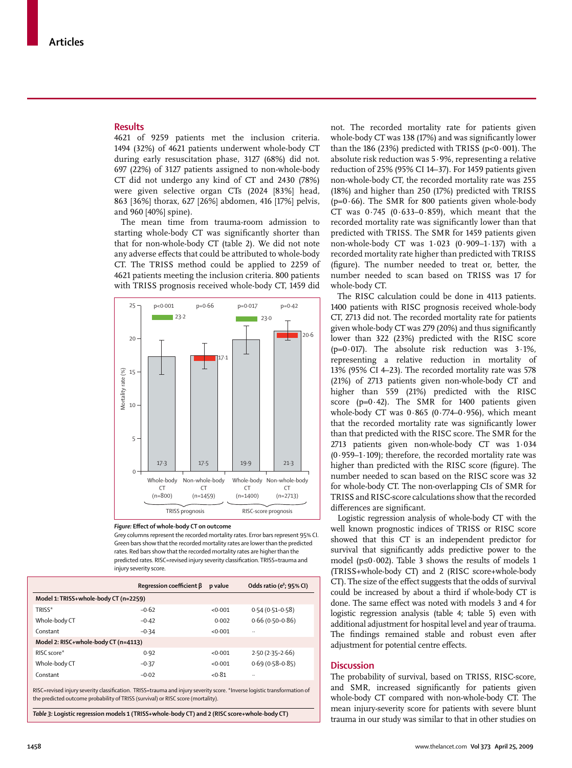## **Results**

4621 of 9259 patients met the inclusion criteria. 1494 (32%) of 4621 patients underwent whole-body CT during early resuscitation phase, 3127 (68%) did not. 697 (22%) of 3127 patients assigned to non-whole-body CT did not undergo any kind of CT and 2430 (78%) were given selective organ CTs (2024 [83%] head, 863 [36%] thorax, 627 [26%] abdomen, 416 [17%] pelvis, and 960 [40%] spine).

The mean time from trauma-room admission to starting whole-body CT was significantly shorter than that for non-whole-body CT (table 2). We did not note anv adverse effects that could be attributed to whole-body CT. The TRISS method could be applied to 2259 of 4621 patients meeting the inclusion criteria. 800 patients with TRISS prognosis received whole-body CT, 1459 did





Grey columns represent the recorded mortality rates. Error bars represent 95% CI. Green bars show that the recorded mortality rates are lower than the predicted rates. Red bars show that the recorded mortality rates are higher than the predicted rates. RISC=revised injury severity classification. TRISS=trauma and injury severity score.

|                                       | Regression coefficient $\beta$ | p value | Odds ratio (e <sup>B</sup> ; 95% CI) |  |
|---------------------------------------|--------------------------------|---------|--------------------------------------|--|
| Model 1: TRISS+whole-body CT (n=2259) |                                |         |                                      |  |
| TRISS*                                | $-0.62$                        | <0.001  | $0.54(0.51 - 0.58)$                  |  |
| Whole-body CT                         | $-0.42$                        | 0.002   | $0.66(0.50-0.86)$                    |  |
| Constant                              | $-0.34$                        | <0.001  | $\ddotsc$                            |  |
| Model 2: RISC+whole-body CT (n=4113)  |                                |         |                                      |  |
| RISC score*                           | 0.92                           | <0.001  | $2.50(2.35 - 2.66)$                  |  |
| Whole-body CT                         | $-0.37$                        | <0.001  | $0.69(0.58 - 0.85)$                  |  |
| Constant                              | $-0.02$                        | < 0.81  |                                      |  |
|                                       |                                |         |                                      |  |

RISC=revised injury severity classification. TRISS=trauma and injury severity score. \*Inverse logistic transformation of the predicted outcome probability of TRISS (survival) or RISC score (mortality).

*Table 3:* **Logistic regression models 1 (TRISS+whole-body CT) and 2 (RISC score+whole-body CT)**

not. The recorded mortality rate for patients given whole-body CT was 138 (17%) and was significantly lower than the 186 (23%) predicted with TRISS ( $p<0.001$ ). The absolute risk reduction was 5·9%, representing a relative reduction of 25% (95% CI 14–37). For 1459 patients given non-whole-body CT, the recorded mortality rate was 255 (18%) and higher than 250 (17%) predicted with TRISS ( $p=0.66$ ). The SMR for 800 patients given whole-body CT was  $0.745$  ( $0.633-0.859$ ), which meant that the recorded mortality rate was significantly lower than that predicted with TRISS. The SMR for 1459 patients given non-whole-body CT was 1·023 (0·909–1·137) with a recorded mortality rate higher than predicted with TRISS (figure). The number needed to treat or, better, the number needed to scan based on TRISS was 17 for whole-body CT.

The RISC calculation could be done in 4113 patients. 1400 patients with RISC prognosis received whole-body CT, 2713 did not. The recorded mortality rate for patients given whole-body CT was 279 (20%) and thus significantly lower than 322 (23%) predicted with the RISC score ( $p=0.017$ ). The absolute risk reduction was  $3.1\%$ , representing a relative reduction in mortality of 13% (95% CI 4–23). The recorded mortality rate was 578 (21%) of 2713 patients given non-whole-body CT and higher than 559 (21%) predicted with the RISC score ( $p=0.42$ ). The SMR for 1400 patients given whole-body CT was  $0.865$  ( $0.774-0.956$ ), which meant that the recorded mortality rate was significantly lower than that predicted with the RISC score. The SMR for the 2713 patients given non-whole-body CT was 1·034 (0.959-1.109); therefore, the recorded mortality rate was higher than predicted with the RISC score (figure). The number needed to scan based on the RISC score was 32 for whole-body CT. The non-overlapping CIs of SMR for TRISS and RISC-score calculations show that the recorded differences are significant.

Logistic regression analysis of whole-body CT with the well known prognostic indices of TRISS or RISC score showed that this CT is an independent predictor for survival that significantly adds predictive power to the model ( $p \le 0.002$ ). Table 3 shows the results of models 1 (TRISS+whole-body CT) and 2 (RISC score+whole-body CT). The size of the effect suggests that the odds of survival could be increased by about a third if whole-body CT is done. The same effect was noted with models 3 and 4 for logistic regression analysis (table 4; table 5) even with additional adjustment for hospital level and year of trauma. The findings remained stable and robust even after adjustment for potential centre effects.

#### **Discussion**

The probability of survival, based on TRISS, RISC-score, and SMR, increased significantly for patients given whole-body CT compared with non-whole-body CT. The mean injury-severity score for patients with severe blunt trauma in our study was similar to that in other studies on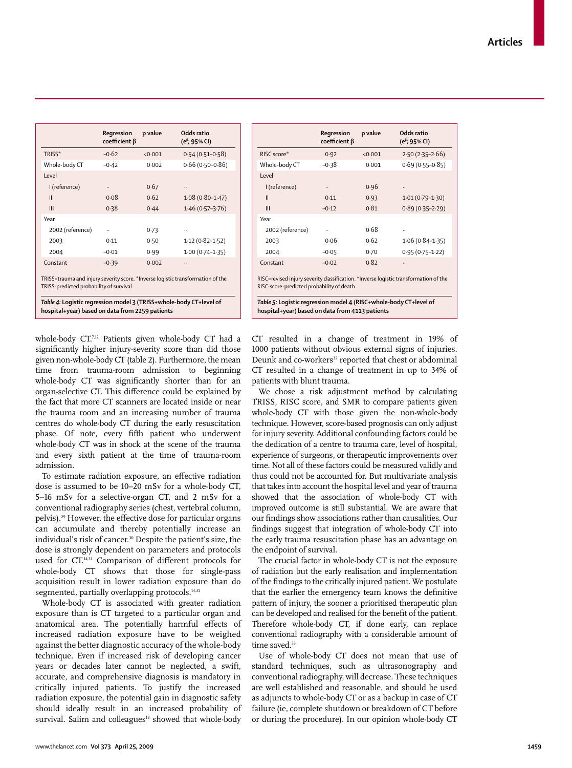|                  | Regression<br>$coefficient \beta$ | p value | Odds ratio<br>(e <sup><math>\beta</math></sup> ; 95% CI) |
|------------------|-----------------------------------|---------|----------------------------------------------------------|
| TRISS*           | $-0.62$                           | < 0.001 | $0.54(0.51 - 0.58)$                                      |
| Whole-body CT    | $-0.42$                           | 0.002   | $0.66(0.50-0.86)$                                        |
| Level            |                                   |         |                                                          |
| I (reference)    |                                   | 0.67    |                                                          |
| $\mathbf{I}$     | 0.08                              | 0.62    | $1.08(0.80 - 1.47)$                                      |
| Ш                | 0.38                              | 0.44    | $1.46(0.57 - 3.76)$                                      |
| Year             |                                   |         |                                                          |
| 2002 (reference) |                                   | 0.73    |                                                          |
| 2003             | 0.11                              | 0.50    | $1.12(0.82 - 1.52)$                                      |
| 2004             | $-0.01$                           | 0.99    | $1.00(0.74 - 1.35)$                                      |
| Constant         | $-0.39$                           | 0.002   |                                                          |

| TRISS=trauma and injury severity score. *Inverse logistic transformation of the |  |
|---------------------------------------------------------------------------------|--|
| TRISS-predicted probability of survival.                                        |  |

*Table 4:* **Logistic regression model 3 (TRISS+whole-body CT+level of hospital+year) based on data from 2259 patients**

whole-body CT.7,12 Patients given whole-body CT had a significantly higher injury-severity score than did those given non-whole-body CT (table 2). Furthermore, the mean time from trauma-room admission to beginning whole-body CT was significantly shorter than for an organ-selective CT. This difference could be explained by the fact that more CT scanners are located inside or near the trauma room and an increasing number of trauma centres do whole-body CT during the early resuscitation phase. Of note, every fifth patient who underwent whole-body CT was in shock at the scene of the trauma and every sixth patient at the time of trauma-room admission.

To estimate radiation exposure, an effective radiation dose is assumed to be 10–20 mSv for a whole-body CT, 5–16 mSv for a selective-organ CT, and 2 mSv for a conventional radiography series (chest, vertebral column, pelvis).<sup>29</sup> However, the effective dose for particular organs can accumulate and thereby potentially increase an individual's risk of cancer.<sup>30</sup> Despite the patient's size, the dose is strongly dependent on parameters and protocols used for CT.<sup>14,31</sup> Comparison of different protocols for whole-body CT shows that those for single-pass acquisition result in lower radiation exposure than do segmented, partially overlapping protocols.<sup>14,31</sup>

Whole-body CT is associated with greater radiation exposure than is CT targeted to a particular organ and anatomical area. The potentially harmful effects of increased radiation exposure have to be weighed against the better diagnostic accuracy of the whole-body technique. Even if increased risk of developing cancer years or decades later cannot be neglected, a swift, accurate, and comprehensive diagnosis is mandatory in critically injured patients. To justify the increased radiation exposure, the potential gain in diagnostic safety should ideally result in an increased probability of survival. Salim and colleagues<sup>13</sup> showed that whole-body

|                                                                                                                                    | Regression<br>$coefficient \beta$ | p value | Odds ratio<br>$(e^{\beta}$ ; 95% CI) |
|------------------------------------------------------------------------------------------------------------------------------------|-----------------------------------|---------|--------------------------------------|
| RISC score*                                                                                                                        | 0.92                              | <0.001  | $2.50(2.35-2.66)$                    |
| Whole-body CT                                                                                                                      | $-0.38$                           | 0.001   | $0.69(0.55 - 0.85)$                  |
| Level                                                                                                                              |                                   |         |                                      |
| I (reference)                                                                                                                      |                                   | 0.96    |                                      |
| $\mathbf{II}$                                                                                                                      | 0.11                              | 0.93    | $1.01(0.79-1.30)$                    |
| Ш                                                                                                                                  | $-0.12$                           | 0.81    | $0.89(0.35 - 2.29)$                  |
| Year                                                                                                                               |                                   |         |                                      |
| 2002 (reference)                                                                                                                   | $\ddotsc$                         | 0.68    |                                      |
| 2003                                                                                                                               | 0.06                              | 0.62    | $1.06(0.84 - 1.35)$                  |
| 2004                                                                                                                               | $-0.05$                           | 0.70    | $0.95(0.75 - 1.22)$                  |
| Constant                                                                                                                           | $-0.02$                           | 0.82    |                                      |
| RISC=revised injury severity classification. *Inverse logistic transformation of the<br>RISC-score-predicted probability of death. |                                   |         |                                      |

*Table 5:* **Logistic regression model 4 (RISC+whole-body CT+level of hospital+year) based on data from 4113 patients**

CT resulted in a change of treatment in 19% of 1000 patients without obvious external signs of injuries. Deunk and co-workers<sup>32</sup> reported that chest or abdominal CT resulted in a change of treatment in up to 34% of patients with blunt trauma.

We chose a risk adjustment method by calculating TRISS, RISC score, and SMR to compare patients given whole-body CT with those given the non-whole-body technique. However, score-based prognosis can only adjust for injury severity. Additional confounding factors could be the dedication of a centre to trauma care, level of hospital, experience of surgeons, or therapeutic improvements over time. Not all of these factors could be measured validly and thus could not be accounted for. But multivariate analysis that takes into account the hospital level and year of trauma showed that the association of whole-body CT with improved outcome is still substantial. We are aware that our findings show associations rather than causalities. Our findings suggest that integration of whole-body CT into the early trauma resuscitation phase has an advantage on the endpoint of survival.

The crucial factor in whole-body CT is not the exposure of radiation but the early realisation and implementation of the findings to the critically injured patient. We postulate that the earlier the emergency team knows the definitive pattern of injury, the sooner a prioritised therapeutic plan can be developed and realised for the benefit of the patient. Therefore whole-body CT, if done early, can replace conventional radiography with a considerable amount of time saved.<sup>33</sup>

Use of whole-body CT does not mean that use of standard techniques, such as ultrasonography and conventional radiography, will decrease. These techniques are well established and reasonable, and should be used as adjuncts to whole-body CT or as a backup in case of CT failure (ie, complete shutdown or breakdown of CT before or during the procedure). In our opinion whole-body CT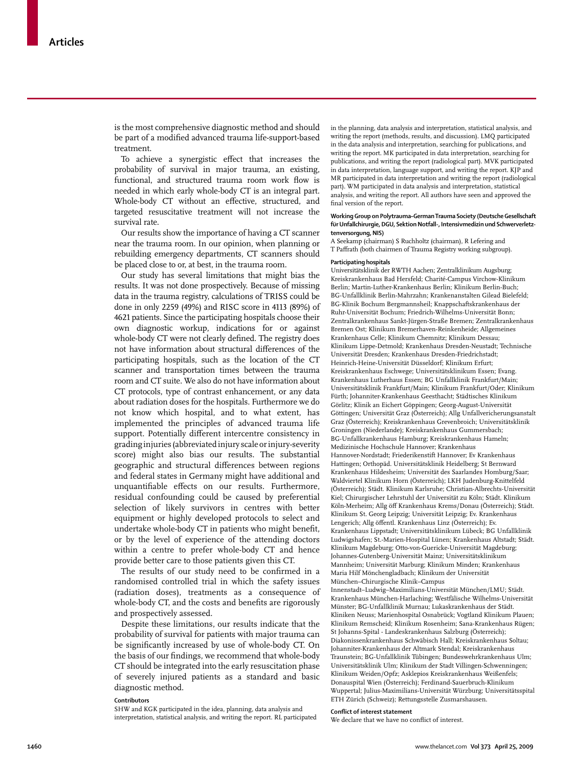is the most comprehensive diagnostic method and should be part of a modified advanced trauma life-support-based treatment.

To achieve a synergistic effect that increases the probability of survival in major trauma, an existing, functional, and structured trauma room work flow is needed in which early whole-body CT is an integral part. Whole-body CT without an effective, structured, and targeted resuscitative treatment will not increase the survival rate.

Our results show the importance of having a CT scanner near the trauma room. In our opinion, when planning or rebuilding emergency departments, CT scanners should be placed close to or, at best, in the trauma room.

Our study has several limitations that might bias the results. It was not done prospectively. Because of missing data in the trauma registry, calculations of TRISS could be done in only 2259 (49%) and RISC score in 4113 (89%) of 4621 patients. Since the participating hospitals choose their own diagnostic workup, indications for or against whole-body CT were not clearly defined. The registry does not have information about structural differences of the participating hospitals, such as the location of the CT scanner and transportation times between the trauma room and CT suite. We also do not have information about CT protocols, type of contrast enhancement, or any data about radiation doses for the hospitals. Furthermore we do not know which hospital, and to what extent, has implemented the principles of advanced trauma life support. Potentially different intercentre consistency in grading injuries (abbreviated injury scale or injury-severity score) might also bias our results. The substantial geographic and structural differences between regions and federal states in Germany might have additional and unquantifiable effects on our results. Furthermore, residual confounding could be caused by preferential selection of likely survivors in centres with better equipment or highly developed protocols to select and undertake whole-body CT in patients who might benefit, or by the level of experience of the attending doctors within a centre to prefer whole-body CT and hence provide better care to those patients given this CT.

The results of our study need to be confirmed in a randomised controlled trial in which the safety issues (radiation doses), treatments as a consequence of whole-body CT, and the costs and benefits are rigorously and prospectively assessed.

Despite these limitations, our results indicate that the probability of survival for patients with major trauma can be significantly increased by use of whole-body CT. On the basis of our findings, we recommend that whole-body CT should be integrated into the early resuscitation phase of severely injured patients as a standard and basic diagnostic method.

## **Contributors**

SHW and KGK participated in the idea, planning, data analysis and interpretation, statistical analysis, and writing the report. RL participated in the planning, data analysis and interpretation, statistical analysis, and writing the report (methods, results, and discussion). LMQ participated in the data analysis and interpretation, searching for publications, and writing the report. MK participated in data interpretation, searching for publications, and writing the report (radiological part). MVK participated in data interpretation, language support, and writing the report. KJP and MR participated in data interpretation and writing the report (radiological part). WM participated in data analysis and interpretation, statistical analysis, and writing the report. All authors have seen and approved the final version of the report.

#### **Working Group on Polytrauma–German Trauma Society (Deutsche Gesellschaft für Unfallchirurgie, DGU, Sektion Notfall-, Intensivmedizin und Schwerverletztenversorgung, NIS)**

A Seekamp (chairman) S Ruchholtz (chairman), R Lefering and T Paffrath (both chairmen of Trauma Registry working subgroup).

#### **Participating hospitals**

Universitätsklinik der RWTH Aachen; Zentralklinikum Augsburg; Kreiskrankenhaus Bad Hersfeld; Charité-Campus Virchow-Klinikum Berlin; Martin-Luther-Krankenhaus Berlin; Klinikum Berlin-Buch; BG-Unfallklinik Berlin-Mahrzahn; Krankenanstalten Gilead Bielefeld; BG-Klinik Bochum Bergmannsheil; Knappschaftskrankenhaus der Ruhr-Universität Bochum; Friedrich-Wilhelms-Universität Bonn; Zentralkrankenhaus Sankt-Jürgen-Straße Bremen; Zentralkrankenhaus Bremen Ost; Klinikum Bremerhaven-Reinkenheide; Allgemeines Krankenhaus Celle; Klinikum Chemnitz; Klinikum Dessau; Klinikum Lippe-Detmold; Krankenhaus Dresden-Neustadt; Technische Universität Dresden; Krankenhaus Dresden-Friedrichstadt; Heinrich-Heine-Universität Düsseldorf; Klinikum Erfurt; Kreiskrankenhaus Eschwege; Universitätsklinikum Essen; Evang. Krankenhaus Lutherhaus Essen; BG Unfallklinik Frankfurt/Main; Universitätsklinik Frankfurt/Main; Klinikum Frankfurt/Oder; Klinikum Fürth; Johanniter-Krankenhaus Geesthacht; Städtisches Klinikum Görlitz; Klinik an Eichert Göppingen; Georg-August-Universität Göttingen; Universität Graz (Österreich); Allg Unfallvericherungsanstalt Graz (Österreich); Kreiskrankenhaus Grevenbroich; Universitätsklinik Groningen (Niederlande); Kreiskrankenhaus Gummersbach; BG-Unfallkrankenhaus Hamburg; Kreiskrankenhaus Hameln; Medizinische Hochschule Hannover; Krankenhaus Hannover-Nordstadt; Friederikenstift Hannover; Ev Krankenhaus Hattingen; Orthopäd. Universitätsklinik Heidelberg; St Bernward Krankenhaus Hildesheim; Universität des Saarlandes Homburg/Saar; Waldviertel Klinikum Horn (Österreich); LKH Judenburg-Knittelfeld (Österreich); Städt. Klinikum Karlsruhe; Christian-Albrechts-Universität Kiel; Chirurgischer Lehrstuhl der Universität zu Köln; Städt. Klinikum Köln-Merheim; Allg öff Krankenhaus Krems/Donau (Österreich); Städt. Klinikum St. Georg Leipzig; Universität Leipzig; Ev. Krankenhaus Lengerich; Allg öffentl. Krankenhaus Linz (Österreich); Ev. Krankenhaus Lippstadt; Universitätsklinikum Lübeck; BG Unfallklinik Ludwigshafen; St.-Marien-Hospital Lünen; Krankenhaus Altstadt; Städt. Klinikum Magdeburg; Otto-von-Guericke-Universität Magdeburg; Johannes-Gutenberg-Universität Mainz; Universitätsklinikum Mannheim; Universität Marburg; Klinikum Minden; Krankenhaus Maria Hilf Mönchengladbach; Klinikum der Universität München–Chirurgische Klinik–Campus

Innenstadt–Ludwig–Maximilians-Universität München/LMU; Städt. Krankenhaus München-Harlaching; Westfälische Wilhelms-Universität Münster; BG-Unfallklinik Murnau; Lukaskrankenhaus der Städt. Kliniken Neuss; Marienhospital Osnabrück; Vogtland Klinikum Plauen; Klinikum Remscheid; Klinikum Rosenheim; Sana-Krankenhaus Rügen; St Johanns-Spital - Landeskrankenhaus Salzburg (Österreich); Diakonissenkrankenhaus Schwäbisch Hall; Kreiskrankenhaus Soltau; Johanniter-Krankenhaus der Altmark Stendal; Kreiskrankenhaus Traunstein; BG-Unfallklinik Tübingen; Bundeswehrkrankenhaus Ulm; Universitätsklinik Ulm; Klinikum der Stadt Villingen-Schwenningen; Klinikum Weiden/Opfz; Asklepios Kreiskrankenhaus Weißenfels; Donauspital Wien (Österreich); Ferdinand-Sauerbruch-Klinikum Wuppertal; Julius-Maximilians-Universität Würzburg; Universitätsspital ETH Zürich (Schweiz); Rettungsstelle Zusmarshausen.

#### **Confl ict of interest statement**

We declare that we have no conflict of interest.